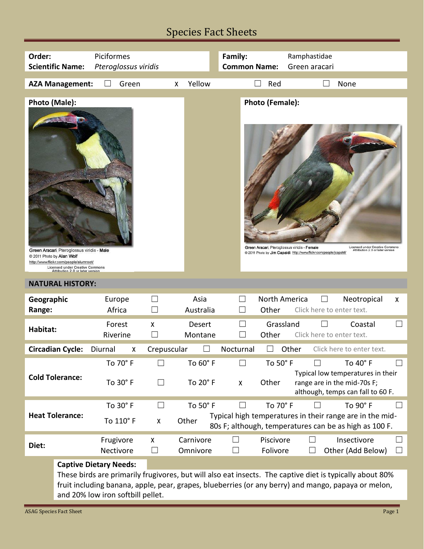## Species Fact Sheets

| Order:                  |                                                                                                                                                                                        | Piciformes                                 |                        |                   | Family:           |                     |                                                                                                                    | Ramphastidae                                                                                                                                                                                                    |   |
|-------------------------|----------------------------------------------------------------------------------------------------------------------------------------------------------------------------------------|--------------------------------------------|------------------------|-------------------|-------------------|---------------------|--------------------------------------------------------------------------------------------------------------------|-----------------------------------------------------------------------------------------------------------------------------------------------------------------------------------------------------------------|---|
| <b>Scientific Name:</b> |                                                                                                                                                                                        | Pteroglossus viridis                       |                        |                   |                   | <b>Common Name:</b> |                                                                                                                    |                                                                                                                                                                                                                 |   |
|                         |                                                                                                                                                                                        |                                            |                        |                   |                   |                     | Green aracari                                                                                                      |                                                                                                                                                                                                                 |   |
|                         | <b>AZA Management:</b>                                                                                                                                                                 | Green                                      |                        | Yellow<br>X       |                   | Red                 |                                                                                                                    | None                                                                                                                                                                                                            |   |
|                         |                                                                                                                                                                                        |                                            |                        |                   |                   |                     |                                                                                                                    |                                                                                                                                                                                                                 |   |
| Photo (Male):           | Green Aracari, Pteroglossus viridis - Male<br>2011 Photo by Alan Wolf<br>http://www.flickr.com/people/alumroot/<br>Licensed under Creative Commons<br>Attribution 2.0 or later version |                                            |                        |                   |                   | Photo (Female):     | Green Aracari, Pteroglossus viridis - Female<br>@ 2011 Photo by Jim Capaldi http://www.flickr.com/people/jcapaldi/ | <b>Licensed under Creative Commons</b><br>Attribution 2.0 or later version                                                                                                                                      |   |
|                         | <b>NATURAL HISTORY:</b>                                                                                                                                                                |                                            |                        |                   |                   |                     |                                                                                                                    |                                                                                                                                                                                                                 |   |
|                         |                                                                                                                                                                                        |                                            |                        |                   |                   |                     |                                                                                                                    |                                                                                                                                                                                                                 |   |
|                         |                                                                                                                                                                                        |                                            |                        |                   |                   |                     |                                                                                                                    |                                                                                                                                                                                                                 |   |
| Geographic              |                                                                                                                                                                                        | Europe                                     |                        | Asia              |                   | North America       |                                                                                                                    | Neotropical                                                                                                                                                                                                     | X |
| Range:                  |                                                                                                                                                                                        | Africa                                     |                        | Australia         |                   | Other               | Click here to enter text.                                                                                          |                                                                                                                                                                                                                 |   |
|                         |                                                                                                                                                                                        | Forest                                     | X                      | <b>Desert</b>     |                   | Grassland           |                                                                                                                    | Coastal                                                                                                                                                                                                         |   |
| Habitat:                |                                                                                                                                                                                        | Riverine                                   |                        | Montane           |                   | Other               | Click here to enter text.                                                                                          |                                                                                                                                                                                                                 |   |
|                         |                                                                                                                                                                                        |                                            |                        |                   |                   |                     |                                                                                                                    |                                                                                                                                                                                                                 |   |
|                         | <b>Circadian Cycle:</b>                                                                                                                                                                | Diurnal<br>X                               | Crepuscular            |                   | Nocturnal         | $\perp$             | Other                                                                                                              | Click here to enter text.                                                                                                                                                                                       |   |
|                         |                                                                                                                                                                                        | To 70° F                                   | L.                     | To 60° F          |                   | To 50° F            |                                                                                                                    | To 40° F                                                                                                                                                                                                        |   |
|                         | <b>Cold Tolerance:</b>                                                                                                                                                                 | To 30° F                                   |                        | To 20° F          | X                 | Other               |                                                                                                                    | Typical low temperatures in their<br>range are in the mid-70s F;<br>although, temps can fall to 60 F.                                                                                                           |   |
|                         |                                                                                                                                                                                        |                                            | $\Box$                 |                   |                   | To 70° F            |                                                                                                                    | To 90° F                                                                                                                                                                                                        |   |
|                         | <b>Heat Tolerance:</b>                                                                                                                                                                 | To 30° F<br>To 110° F                      | X                      | To 50° F<br>Other |                   |                     |                                                                                                                    | Typical high temperatures in their range are in the mid-<br>80s F; although, temperatures can be as high as 100 F.                                                                                              |   |
|                         |                                                                                                                                                                                        |                                            |                        | Carnivore         |                   | Piscivore           | ∐                                                                                                                  | Insectivore                                                                                                                                                                                                     |   |
| Diet:                   |                                                                                                                                                                                        | Frugivore                                  | X<br>$\vert \ \ \vert$ |                   | $\vert \ \ \vert$ |                     |                                                                                                                    |                                                                                                                                                                                                                 |   |
|                         |                                                                                                                                                                                        | Nectivore<br><b>Captive Dietary Needs:</b> |                        | Omnivore          |                   | Folivore            |                                                                                                                    | Other (Add Below)                                                                                                                                                                                               |   |
|                         |                                                                                                                                                                                        |                                            |                        |                   |                   |                     |                                                                                                                    | These birds are primarily frugivores, but will also eat insects. The captive diet is typically about 80%<br>fruit including banana, apple, pear, grapes, blueberries (or any berry) and mango, papaya or melon, |   |

and 20% low iron softbill pellet.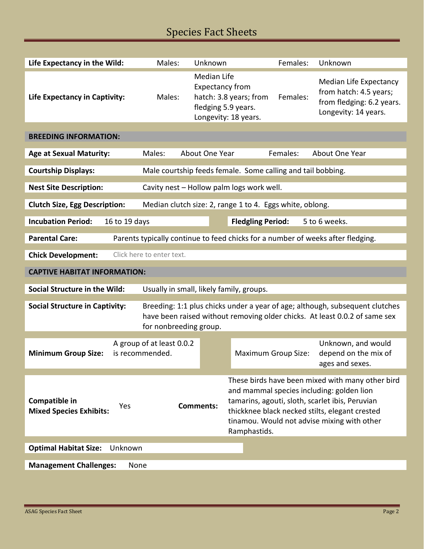## Species Fact Sheets

| Life Expectancy in the Wild:                                                                             | Males:                                                                                                                                                                               | Unknown                                                  |                                                                       | Females: | Unknown                                                                                                                                                                                                                                           |  |  |
|----------------------------------------------------------------------------------------------------------|--------------------------------------------------------------------------------------------------------------------------------------------------------------------------------------|----------------------------------------------------------|-----------------------------------------------------------------------|----------|---------------------------------------------------------------------------------------------------------------------------------------------------------------------------------------------------------------------------------------------------|--|--|
| Life Expectancy in Captivity:                                                                            | Males:                                                                                                                                                                               | <b>Median Life</b><br><b>Expectancy from</b>             | hatch: 3.8 years; from<br>fledging 5.9 years.<br>Longevity: 18 years. | Females: | Median Life Expectancy<br>from hatch: 4.5 years;<br>from fledging: 6.2 years.<br>Longevity: 14 years.                                                                                                                                             |  |  |
| <b>BREEDING INFORMATION:</b>                                                                             |                                                                                                                                                                                      |                                                          |                                                                       |          |                                                                                                                                                                                                                                                   |  |  |
| <b>Age at Sexual Maturity:</b>                                                                           | Males:                                                                                                                                                                               | About One Year                                           |                                                                       | Females: | About One Year                                                                                                                                                                                                                                    |  |  |
| <b>Courtship Displays:</b>                                                                               | Male courtship feeds female. Some calling and tail bobbing.                                                                                                                          |                                                          |                                                                       |          |                                                                                                                                                                                                                                                   |  |  |
| <b>Nest Site Description:</b>                                                                            | Cavity nest - Hollow palm logs work well.                                                                                                                                            |                                                          |                                                                       |          |                                                                                                                                                                                                                                                   |  |  |
| <b>Clutch Size, Egg Description:</b>                                                                     |                                                                                                                                                                                      | Median clutch size: 2, range 1 to 4. Eggs white, oblong. |                                                                       |          |                                                                                                                                                                                                                                                   |  |  |
| <b>Incubation Period:</b><br>16 to 19 days                                                               |                                                                                                                                                                                      |                                                          | <b>Fledgling Period:</b>                                              |          | 5 to 6 weeks.                                                                                                                                                                                                                                     |  |  |
|                                                                                                          |                                                                                                                                                                                      |                                                          |                                                                       |          |                                                                                                                                                                                                                                                   |  |  |
| <b>Parental Care:</b><br>Parents typically continue to feed chicks for a number of weeks after fledging. |                                                                                                                                                                                      |                                                          |                                                                       |          |                                                                                                                                                                                                                                                   |  |  |
| <b>Chick Development:</b>                                                                                | Click here to enter text.                                                                                                                                                            |                                                          |                                                                       |          |                                                                                                                                                                                                                                                   |  |  |
| <b>CAPTIVE HABITAT INFORMATION:</b>                                                                      |                                                                                                                                                                                      |                                                          |                                                                       |          |                                                                                                                                                                                                                                                   |  |  |
| Social Structure in the Wild:<br>Usually in small, likely family, groups.                                |                                                                                                                                                                                      |                                                          |                                                                       |          |                                                                                                                                                                                                                                                   |  |  |
| <b>Social Structure in Captivity:</b>                                                                    | Breeding: 1:1 plus chicks under a year of age; although, subsequent clutches<br>have been raised without removing older chicks. At least 0.0.2 of same sex<br>for nonbreeding group. |                                                          |                                                                       |          |                                                                                                                                                                                                                                                   |  |  |
|                                                                                                          |                                                                                                                                                                                      |                                                          |                                                                       |          |                                                                                                                                                                                                                                                   |  |  |
| <b>Minimum Group Size:</b>                                                                               | A group of at least 0.0.2<br>is recommended.                                                                                                                                         |                                                          | <b>Maximum Group Size:</b>                                            |          | Unknown, and would<br>depend on the mix of<br>ages and sexes.                                                                                                                                                                                     |  |  |
| Compatible in<br>Yes<br><b>Mixed Species Exhibits:</b>                                                   |                                                                                                                                                                                      | <b>Comments:</b>                                         | Ramphastids.                                                          |          | These birds have been mixed with many other bird<br>and mammal species including: golden lion<br>tamarins, agouti, sloth, scarlet ibis, Peruvian<br>thickknee black necked stilts, elegant crested<br>tinamou. Would not advise mixing with other |  |  |
| <b>Optimal Habitat Size:</b><br>Unknown                                                                  |                                                                                                                                                                                      |                                                          |                                                                       |          |                                                                                                                                                                                                                                                   |  |  |
| <b>Management Challenges:</b><br>None                                                                    |                                                                                                                                                                                      |                                                          |                                                                       |          |                                                                                                                                                                                                                                                   |  |  |
|                                                                                                          |                                                                                                                                                                                      |                                                          |                                                                       |          |                                                                                                                                                                                                                                                   |  |  |